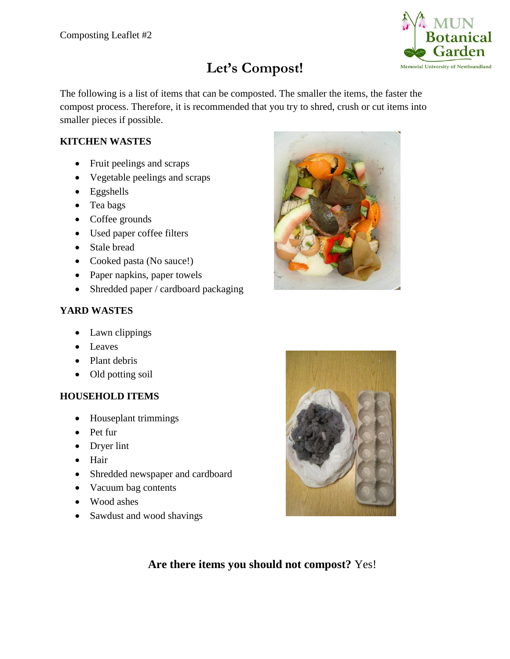

# **Let's Compost!**

The following is a list of items that can be composted. The smaller the items, the faster the compost process. Therefore, it is recommended that you try to shred, crush or cut items into smaller pieces if possible.

## **KITCHEN WASTES**

- Fruit peelings and scraps
- Vegetable peelings and scraps
- Eggshells
- Tea bags
- Coffee grounds
- Used paper coffee filters
- Stale bread
- Cooked pasta (No sauce!)
- Paper napkins, paper towels
- Shredded paper / cardboard packaging

### **YARD WASTES**

- Lawn clippings
- Leaves
- Plant debris
- Old potting soil

### **HOUSEHOLD ITEMS**

- Houseplant trimmings
- Pet fur
- Dryer lint
- Hair
- Shredded newspaper and cardboard
- Vacuum bag contents
- Wood ashes
- Sawdust and wood shavings





**Are there items you should not compost?** Yes!